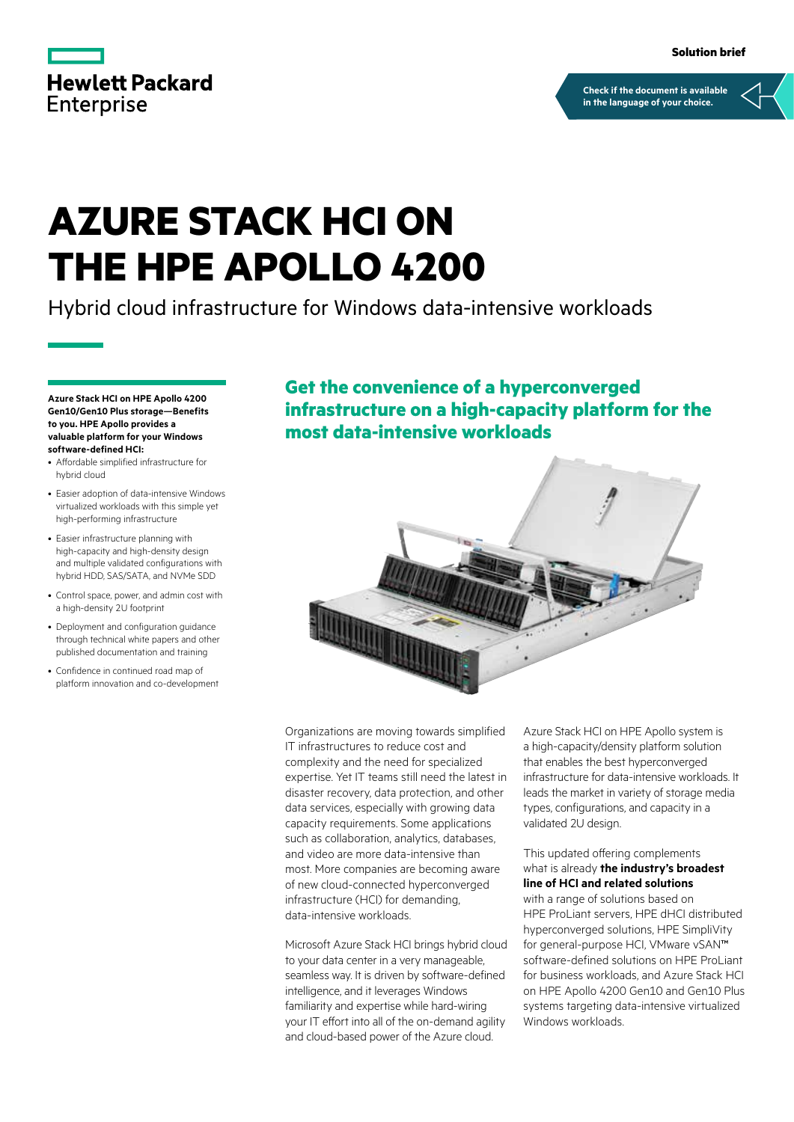

**[Check if the document is available](https://www.hpe.com/psnow/collection-resources/a00094076ENW)  in the language of your choice.**

### **AZURE STACK HCI ON THE HPE APOLLO 4200**

Hybrid cloud infrastructure for Windows data-intensive workloads

**Azure Stack HCI on HPE Apollo 4200 Gen10/Gen10 Plus storage—Benefits to you. HPE Apollo provides a valuable platform for your Windows software-defined HCI:**

- Affordable simplified infrastructure for hybrid cloud
- Easier adoption of data-intensive Windows virtualized workloads with this simple yet high-performing infrastructure
- Easier infrastructure planning with high-capacity and high-density design and multiple validated configurations with hybrid HDD, SAS/SATA, and NVMe SDD
- Control space, power, and admin cost with a high-density 2U footprint
- Deployment and configuration guidance through technical white papers and other published documentation and training
- Confidence in continued road map of platform innovation and co-development

**Get the convenience of a hyperconverged infrastructure on a high-capacity platform for the most data-intensive workloads**



Organizations are moving towards simplified IT infrastructures to reduce cost and complexity and the need for specialized expertise. Yet IT teams still need the latest in disaster recovery, data protection, and other data services, especially with growing data capacity requirements. Some applications such as collaboration, analytics, databases, and video are more data-intensive than most. More companies are becoming aware of new cloud-connected hyperconverged infrastructure (HCI) for demanding, data-intensive workloads.

Microsoft Azure Stack HCI brings hybrid cloud to your data center in a very manageable, seamless way. It is driven by software-defined intelligence, and it leverages Windows familiarity and expertise while hard-wiring your IT effort into all of the on-demand agility and cloud-based power of the Azure cloud.

Azure Stack HCI on HPE Apollo system is a high-capacity/density platform solution that enables the best hyperconverged infrastructure for data-intensive workloads. It leads the market in variety of storage media types, configurations, and capacity in a validated 2U design.

This updated offering complements what is already **the industry's broadest line of HCI and related solutions**

with a range of solutions based on HPE ProLiant servers, HPE dHCI distributed hyperconverged solutions, HPE SimpliVity for general-purpose HCI, VMware vSAN™ software-defined solutions on HPE ProLiant for business workloads, and Azure Stack HCI on HPE Apollo 4200 Gen10 and Gen10 Plus systems targeting data-intensive virtualized Windows workloads.